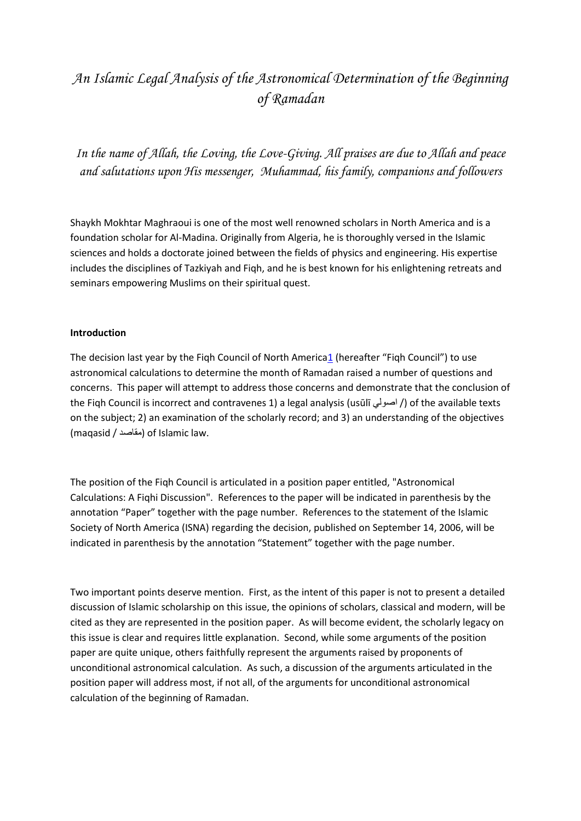# *An Islamic Legal Analysis of the Astronomical Determination of the Beginning of Ramadan*

*In the name of Allah, the Loving, the Love-Giving. All praises are due to Allah and peace and salutations upon His messenger, Muhammad, his family, companions and followers*

Shaykh Mokhtar Maghraoui is one of the most well renowned scholars in North America and is a foundation scholar for Al-Madina. Originally from Algeria, he is thoroughly versed in the Islamic sciences and holds a doctorate joined between the fields of physics and engineering. His expertise includes the disciplines of Tazkiyah and Fiqh, and he is best known for his enlightening retreats and seminars empowering Muslims on their spiritual quest.

## **Introduction**

The decision last year by the Fiqh Council of North Americ[a1](http://almadinainstitute.org/blog/an-islamic-legal-analysis-of-the-astronomical-determination-of-the-beginnin/#Endnote) (hereafter "Fiqh Council") to use astronomical calculations to determine the month of Ramadan raised a number of questions and concerns. This paper will attempt to address those concerns and demonstrate that the conclusion of the Fiqh Council is incorrect and contravenes 1) a legal analysis (usūlī اصولي /) of the available texts on the subject; 2) an examination of the scholarly record; and 3) an understanding of the objectives (maqasid / مقاصد (of Islamic law.

The position of the Fiqh Council is articulated in a position paper entitled, "Astronomical Calculations: A Fiqhi Discussion". References to the paper will be indicated in parenthesis by the annotation "Paper" together with the page number. References to the statement of the Islamic Society of North America (ISNA) regarding the decision, published on September 14, 2006, will be indicated in parenthesis by the annotation "Statement" together with the page number.

Two important points deserve mention. First, as the intent of this paper is not to present a detailed discussion of Islamic scholarship on this issue, the opinions of scholars, classical and modern, will be cited as they are represented in the position paper. As will become evident, the scholarly legacy on this issue is clear and requires little explanation. Second, while some arguments of the position paper are quite unique, others faithfully represent the arguments raised by proponents of unconditional astronomical calculation. As such, a discussion of the arguments articulated in the position paper will address most, if not all, of the arguments for unconditional astronomical calculation of the beginning of Ramadan.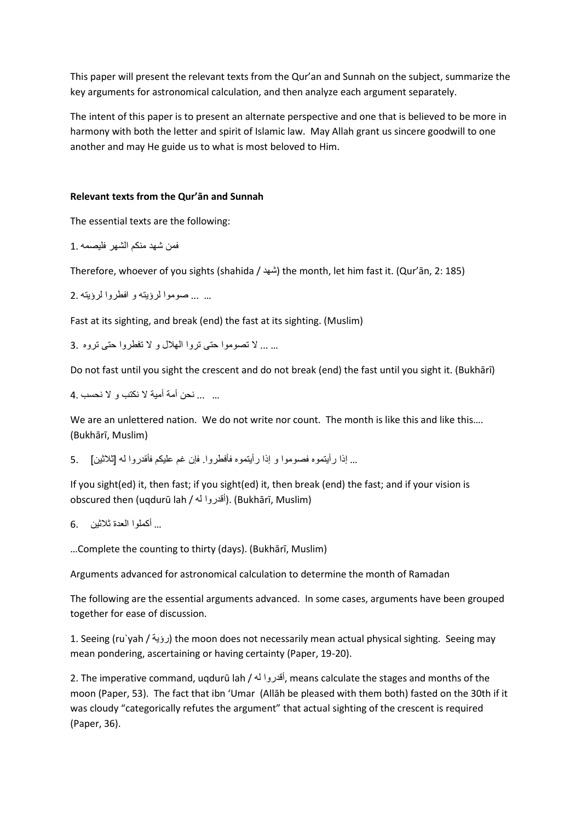This paper will present the relevant texts from the Qur'an and Sunnah on the subject, summarize the key arguments for astronomical calculation, and then analyze each argument separately.

The intent of this paper is to present an alternate perspective and one that is believed to be more in harmony with both the letter and spirit of Islamic law. May Allah grant us sincere goodwill to one another and may He guide us to what is most beloved to Him.

## **Relevant texts from the Qur'ān and Sunnah**

The essential texts are the following:

فمن شهد منكم الشهر فليصمه 1.

Therefore, whoever of you sights (shahida / شهد (the month, let him fast it. (Qur'ān, 2: 185)

... ... صوموا لرؤيته و افطروا لرؤيته 2.

Fast at its sighting, and break (end) the fast at its sighting. (Muslim)

... ... لا تصوموا حتی تروا الهلال و لا تفطروا حتی تروه 3.

Do not fast until you sight the crescent and do not break (end) the fast until you sight it. (Bukhārī)

... ... نحن أمة أمية لا نكتب و لا نحسب 4.

We are an unlettered nation. We do not write nor count. The month is like this and like this.... (Bukhārī, Muslim)

... إذا رأيتموه فصوموا و إذا رأيتموه فأفطروا. فإن غم عليكم فأقدروا له [ثلاثين] 5.

If you sight(ed) it, then fast; if you sight(ed) it, then break (end) the fast; and if your vision is obscured then (uqdurū lah / أقدروا له). (Bukhārī, Muslim)

```
... أكملوا العدة ثلاثين 6.
```
…Complete the counting to thirty (days). (Bukhārī, Muslim)

Arguments advanced for astronomical calculation to determine the month of Ramadan

The following are the essential arguments advanced. In some cases, arguments have been grouped together for ease of discussion.

1. Seeing (ru`yah / رؤية) the moon does not necessarily mean actual physical sighting. Seeing may mean pondering, ascertaining or having certainty (Paper, 19-20).

2. The imperative command, uqdurū lah / له أقدروا, means calculate the stages and months of the moon (Paper, 53). The fact that ibn 'Umar (Allāh be pleased with them both) fasted on the 30th if it was cloudy "categorically refutes the argument" that actual sighting of the crescent is required (Paper, 36).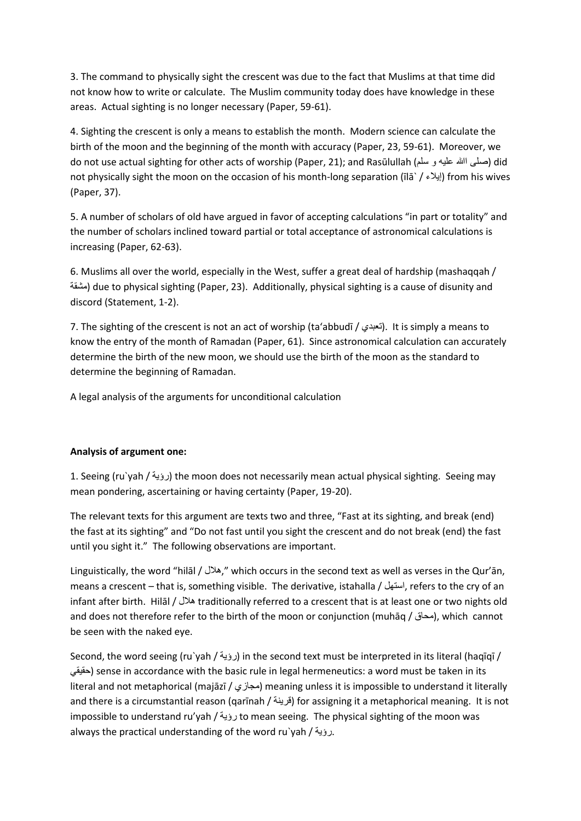3. The command to physically sight the crescent was due to the fact that Muslims at that time did not know how to write or calculate. The Muslim community today does have knowledge in these areas. Actual sighting is no longer necessary (Paper, 59-61).

4. Sighting the crescent is only a means to establish the month. Modern science can calculate the birth of the moon and the beginning of the month with accuracy (Paper, 23, 59-61). Moreover, we do not use actual sighting for other acts of worship (Paper, 21); and Rasūlullah (صلى الله عليه و سلم) did not physically sight the moon on the occasion of his month-long separation ( $\left| \vec{a} \right|$ ) from his wives (Paper, 37).

5. A number of scholars of old have argued in favor of accepting calculations "in part or totality" and the number of scholars inclined toward partial or total acceptance of astronomical calculations is increasing (Paper, 62-63).

6. Muslims all over the world, especially in the West, suffer a great deal of hardship (mashaqqah / مشقة (due to physical sighting (Paper, 23). Additionally, physical sighting is a cause of disunity and discord (Statement, 1-2).

7. The sighting of the crescent is not an act of worship (ta'abbudī / التعبدي). It is simply a means to know the entry of the month of Ramadan (Paper, 61). Since astronomical calculation can accurately determine the birth of the new moon, we should use the birth of the moon as the standard to determine the beginning of Ramadan.

A legal analysis of the arguments for unconditional calculation

# **Analysis of argument one:**

1. Seeing (ru`yah / رؤية) the moon does not necessarily mean actual physical sighting. Seeing may mean pondering, ascertaining or having certainty (Paper, 19-20).

The relevant texts for this argument are texts two and three, "Fast at its sighting, and break (end) the fast at its sighting" and "Do not fast until you sight the crescent and do not break (end) the fast until you sight it." The following observations are important.

Linguistically, the word "hilāl / هلال, "which occurs in the second text as well as verses in the Qur'ān, means a crescent – that is, something visible. The derivative, istahalla / استهل, refers to the cry of an infant after birth. Hilāl / هلال traditionally referred to a crescent that is at least one or two nights old and does not therefore refer to the birth of the moon or conjunction (muhāq / محاق), which cannot be seen with the naked eye.

Second, the word seeing (ru`yah / رؤية / in the second text must be interpreted in its literal (haqīqī / حقيقي (sense in accordance with the basic rule in legal hermeneutics: a word must be taken in its literal and not metaphorical (majāzī / مجازي (meaning unless it is impossible to understand it literally and there is a circumstantial reason (qarīnah / قرينة (for assigning it a metaphorical meaning. It is not impossible to understand ru'yah / رؤية to mean seeing. The physical sighting of the moon was always the practical understanding of the word ru`yah / رؤية.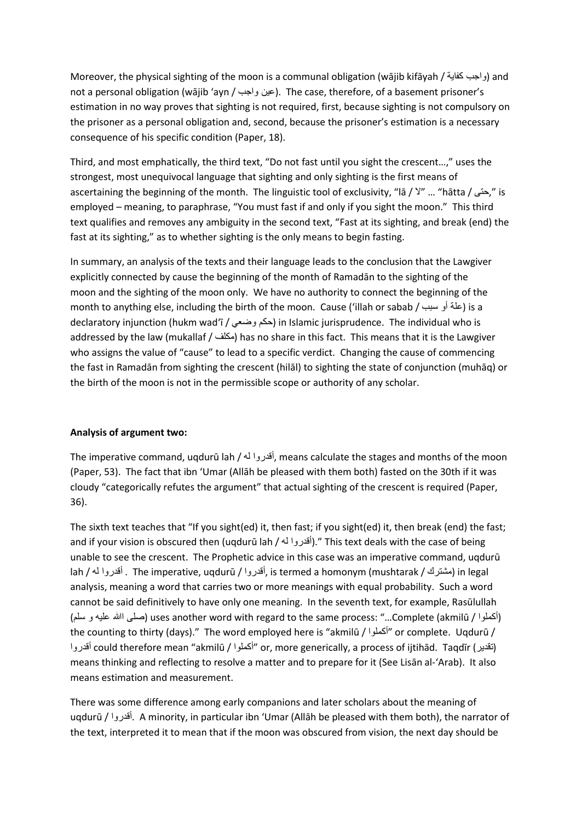Moreover, the physical sighting of the moon is a communal obligation (wājib kifāyah / واجب كفاية / not a personal obligation (wājib 'ayn / عين واجب). The case, therefore, of a basement prisoner's estimation in no way proves that sighting is not required, first, because sighting is not compulsory on the prisoner as a personal obligation and, second, because the prisoner's estimation is a necessary consequence of his specific condition (Paper, 18).

Third, and most emphatically, the third text, "Do not fast until you sight the crescent…," uses the strongest, most unequivocal language that sighting and only sighting is the first means of ascertaining the beginning of the month. The linguistic tool of exclusivity, "lā / لا" ... "hātta / حتی, "is employed – meaning, to paraphrase, "You must fast if and only if you sight the moon." This third text qualifies and removes any ambiguity in the second text, "Fast at its sighting, and break (end) the fast at its sighting," as to whether sighting is the only means to begin fasting.

In summary, an analysis of the texts and their language leads to the conclusion that the Lawgiver explicitly connected by cause the beginning of the month of Ramadān to the sighting of the moon and the sighting of the moon only. We have no authority to connect the beginning of the month to anything else, including the birth of the moon. Cause ('illah or sabab / سبب أو علة (is a declaratory injunction (hukm wad'ī / حكم وضعي ) in Islamic jurisprudence. The individual who is addressed by the law (mukallaf / مكلف) has no share in this fact. This means that it is the Lawgiver who assigns the value of "cause" to lead to a specific verdict. Changing the cause of commencing the fast in Ramadān from sighting the crescent (hilāl) to sighting the state of conjunction (muhāq) or the birth of the moon is not in the permissible scope or authority of any scholar.

#### **Analysis of argument two:**

The imperative command, uqdurū lah / له أقدروا, means calculate the stages and months of the moon (Paper, 53). The fact that ibn 'Umar (Allāh be pleased with them both) fasted on the 30th if it was cloudy "categorically refutes the argument" that actual sighting of the crescent is required (Paper, 36).

The sixth text teaches that "If you sight(ed) it, then fast; if you sight(ed) it, then break (end) the fast; and if your vision is obscured then (uqdurū lah / إأقدروا له)." This text deals with the case of being unable to see the crescent. The Prophetic advice in this case was an imperative command, uqdurū lah / له أقدروا . The imperative, uqdurū / أقدروا, is termed a homonym (mushtarak / مشترك (in legal analysis, meaning a word that carries two or more meanings with equal probability. Such a word cannot be said definitively to have only one meaning. In the seventh text, for example, Rasūlullah (سلم و عليه االله صلی (uses another word with regard to the same process: "…Complete (akmilū / أكملوا ( the counting to thirty (days)." The word employed here is "akmilū / أكملوا "or complete. Uqdurū / أقدروا could therefore mean "akmilū / أكملوا "or, more generically, a process of ijtihād. Taqdīr (تقدير ( means thinking and reflecting to resolve a matter and to prepare for it (See Lisān al-'Arab). It also means estimation and measurement.

There was some difference among early companions and later scholars about the meaning of uqdurū / أقدروا. A minority, in particular ibn 'Umar (Allāh be pleased with them both), the narrator of the text, interpreted it to mean that if the moon was obscured from vision, the next day should be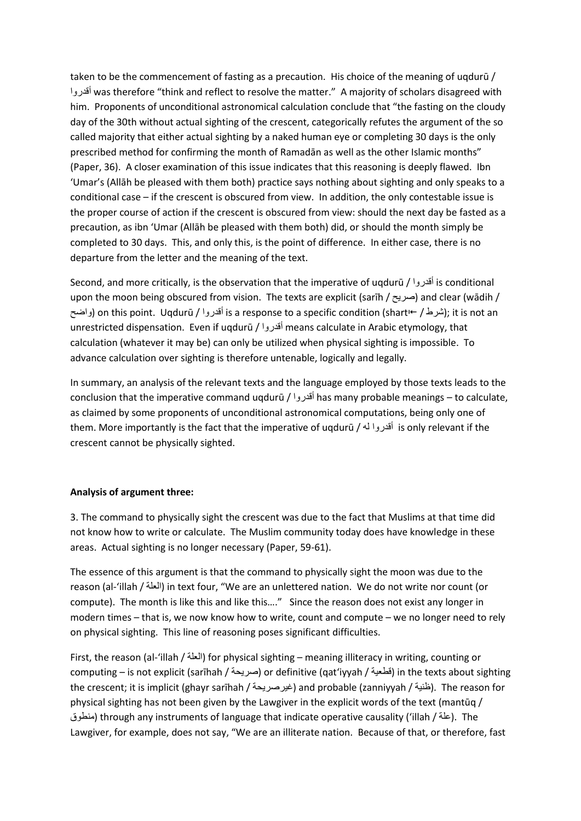taken to be the commencement of fasting as a precaution. His choice of the meaning of uqdurū / أقدروا was therefore "think and reflect to resolve the matter." A majority of scholars disagreed with him. Proponents of unconditional astronomical calculation conclude that "the fasting on the cloudy day of the 30th without actual sighting of the crescent, categorically refutes the argument of the so called majority that either actual sighting by a naked human eye or completing 30 days is the only prescribed method for confirming the month of Ramadān as well as the other Islamic months" (Paper, 36). A closer examination of this issue indicates that this reasoning is deeply flawed. Ibn 'Umar's (Allāh be pleased with them both) practice says nothing about sighting and only speaks to a conditional case – if the crescent is obscured from view. In addition, the only contestable issue is the proper course of action if the crescent is obscured from view: should the next day be fasted as a precaution, as ibn 'Umar (Allāh be pleased with them both) did, or should the month simply be completed to 30 days. This, and only this, is the point of difference. In either case, there is no departure from the letter and the meaning of the text.

Second, and more critically, is the observation that the imperative of uqdurū / أقدروا is conditional upon the moon being obscured from vision. The texts are explicit (sarīh / صريح) and clear (wādih / واضح) on this point. Uqdurū / أقدروا is a response to a specific condition (shart (shart (واضح); it is not an unrestricted dispensation. Even if uqdurū / أقدروا means calculate in Arabic etymology, that calculation (whatever it may be) can only be utilized when physical sighting is impossible. To advance calculation over sighting is therefore untenable, logically and legally.

In summary, an analysis of the relevant texts and the language employed by those texts leads to the conclusion that the imperative command uqdurū / أقدروا has many probable meanings – to calculate, as claimed by some proponents of unconditional astronomical computations, being only one of them. More importantly is the fact that the imperative of uqdurū / له أقدروا is only relevant if the crescent cannot be physically sighted.

#### **Analysis of argument three:**

3. The command to physically sight the crescent was due to the fact that Muslims at that time did not know how to write or calculate. The Muslim community today does have knowledge in these areas. Actual sighting is no longer necessary (Paper, 59-61).

The essence of this argument is that the command to physically sight the moon was due to the reason (al-'illah / العلة (in text four, "We are an unlettered nation. We do not write nor count (or compute). The month is like this and like this…." Since the reason does not exist any longer in modern times – that is, we now know how to write, count and compute – we no longer need to rely on physical sighting. This line of reasoning poses significant difficulties.

First, the reason (al-'illah / العلة (for physical sighting – meaning illiteracy in writing, counting or computing – is not explicit (sarīhah / صريحة (or definitive (qat'iyyah / قطعية (in the texts about sighting the crescent; it is implicit (ghayr sarīhah / غيرصريحة) and probable (zanniyyah / ظنية). The reason for physical sighting has not been given by the Lawgiver in the explicit words of the text (mantūq / منطوق (through any instruments of language that indicate operative causality ('illah / علة(. The Lawgiver, for example, does not say, "We are an illiterate nation. Because of that, or therefore, fast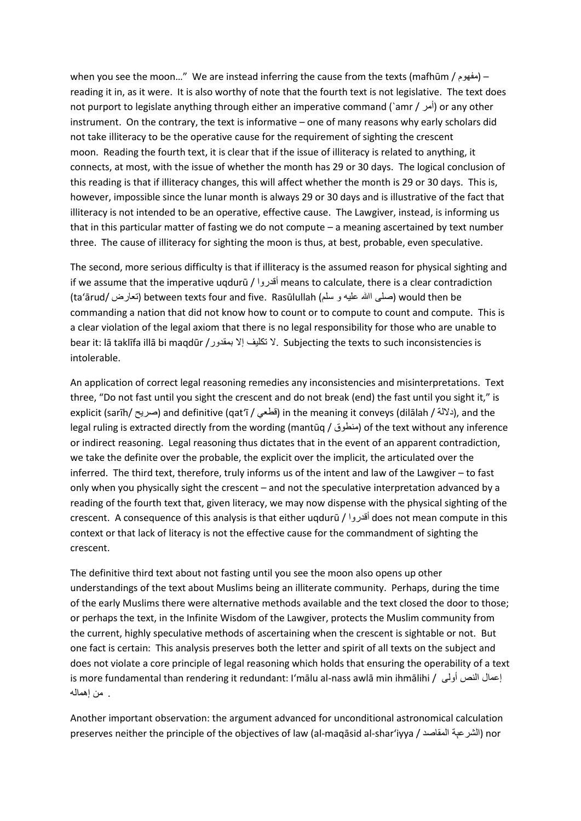when you see the moon…" We are instead inferring the cause from the texts (mafhūm / مفهوم– ( reading it in, as it were. It is also worthy of note that the fourth text is not legislative. The text does not purport to legislate anything through either an imperative command (`amr / أمر) or any other instrument. On the contrary, the text is informative – one of many reasons why early scholars did not take illiteracy to be the operative cause for the requirement of sighting the crescent moon. Reading the fourth text, it is clear that if the issue of illiteracy is related to anything, it connects, at most, with the issue of whether the month has 29 or 30 days. The logical conclusion of this reading is that if illiteracy changes, this will affect whether the month is 29 or 30 days. This is, however, impossible since the lunar month is always 29 or 30 days and is illustrative of the fact that illiteracy is not intended to be an operative, effective cause. The Lawgiver, instead, is informing us that in this particular matter of fasting we do not compute – a meaning ascertained by text number three. The cause of illiteracy for sighting the moon is thus, at best, probable, even speculative.

The second, more serious difficulty is that if illiteracy is the assumed reason for physical sighting and if we assume that the imperative uqdurū / أقدروا means to calculate, there is a clear contradiction (ta'ārud/ تعارض (between texts four and five. Rasūlullah (سلم و عليه االله صلی (would then be commanding a nation that did not know how to count or to compute to count and compute. This is a clear violation of the legal axiom that there is no legal responsibility for those who are unable to bear it: lā taklīfa illā bi maqdūr /بمقدور إلا تكليف لا. Subjecting the texts to such inconsistencies is intolerable.

An application of correct legal reasoning remedies any inconsistencies and misinterpretations. Text three, "Do not fast until you sight the crescent and do not break (end) the fast until you sight it," is explicit (sarīh/ صريح) and definitive (qat'ī / قطعي) in the meaning it conveys (dilālah / دلالة), and the legal ruling is extracted directly from the wording (mantūq / منطوق ) of the text without any inference or indirect reasoning. Legal reasoning thus dictates that in the event of an apparent contradiction, we take the definite over the probable, the explicit over the implicit, the articulated over the inferred. The third text, therefore, truly informs us of the intent and law of the Lawgiver – to fast only when you physically sight the crescent – and not the speculative interpretation advanced by a reading of the fourth text that, given literacy, we may now dispense with the physical sighting of the crescent. A consequence of this analysis is that either uqdurū / أقدروا does not mean compute in this context or that lack of literacy is not the effective cause for the commandment of sighting the crescent.

The definitive third text about not fasting until you see the moon also opens up other understandings of the text about Muslims being an illiterate community. Perhaps, during the time of the early Muslims there were alternative methods available and the text closed the door to those; or perhaps the text, in the Infinite Wisdom of the Lawgiver, protects the Muslim community from the current, highly speculative methods of ascertaining when the crescent is sightable or not. But one fact is certain: This analysis preserves both the letter and spirit of all texts on the subject and does not violate a core principle of legal reasoning which holds that ensuring the operability of a text is more fundamental than rendering it redundant: I'mālu al-nass awlā min ihmālihi / أولى النص إعمال . من إهماله

Another important observation: the argument advanced for unconditional astronomical calculation preserves neither the principle of the objectives of law (al-maqāsid al-shar'iyya / المقاصد الشرعېة (nor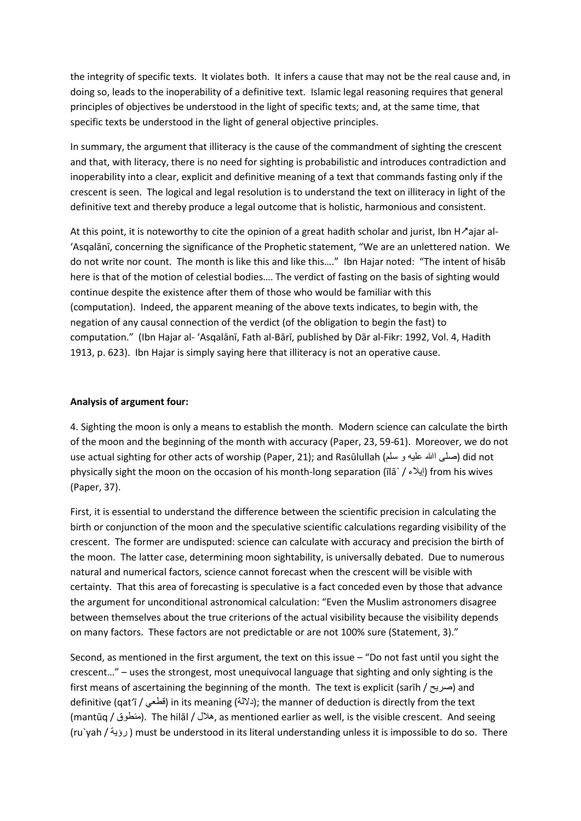the integrity of specific texts. It violates both. It infers a cause that may not be the real cause and, in doing so, leads to the inoperability of a definitive text. Islamic legal reasoning requires that general principles of objectives be understood in the light of specific texts; and, at the same time, that specific texts be understood in the light of general objective principles.

In summary, the argument that illiteracy is the cause of the commandment of sighting the crescent and that, with literacy, there is no need for sighting is probabilistic and introduces contradiction and inoperability into a clear, explicit and definitive meaning of a text that commands fasting only if the crescent is seen. The logical and legal resolution is to understand the text on illiteracy in light of the definitive text and thereby produce a legal outcome that is holistic, harmonious and consistent.

At this point, it is noteworthy to cite the opinion of a great hadith scholar and jurist, Ibn H $\lambda$ ajar al-'Asqalānī, concerning the significance of the Prophetic statement, "We are an unlettered nation. We do not write nor count. The month is like this and like this…." Ibn Hajar noted: "The intent of hisāb here is that of the motion of celestial bodies…. The verdict of fasting on the basis of sighting would continue despite the existence after them of those who would be familiar with this (computation). Indeed, the apparent meaning of the above texts indicates, to begin with, the negation of any causal connection of the verdict (of the obligation to begin the fast) to computation." (Ibn Hajar al- 'Asqalānī, Fath al-Bārī, published by Dār al-Fikr: 1992, Vol. 4, Hadith 1913, p. 623). Ibn Hajar is simply saying here that illiteracy is not an operative cause.

#### **Analysis of argument four:**

4. Sighting the moon is only a means to establish the month. Modern science can calculate the birth of the moon and the beginning of the month with accuracy (Paper, 23, 59-61). Moreover, we do not use actual sighting for other acts of worship (Paper, 21); and Rasūlullah (سلم و عليه االله صلی (did not physically sight the moon on the occasion of his month-long separation ( $\lfloor \frac{m}{2} \rfloor$ ) from his wives (Paper, 37).

First, it is essential to understand the difference between the scientific precision in calculating the birth or conjunction of the moon and the speculative scientific calculations regarding visibility of the crescent. The former are undisputed: science can calculate with accuracy and precision the birth of the moon. The latter case, determining moon sightability, is universally debated. Due to numerous natural and numerical factors, science cannot forecast when the crescent will be visible with certainty. That this area of forecasting is speculative is a fact conceded even by those that advance the argument for unconditional astronomical calculation: "Even the Muslim astronomers disagree between themselves about the true criterions of the actual visibility because the visibility depends on many factors. These factors are not predictable or are not 100% sure (Statement, 3)."

Second, as mentioned in the first argument, the text on this issue – "Do not fast until you sight the crescent…" – uses the strongest, most unequivocal language that sighting and only sighting is the first means of ascertaining the beginning of the month. The text is explicit (sarīh / صريح) and definitive (qat'ī / أقطعي) in its meaning (دلالة); the manner of deduction is directly from the text (mantūq / منطوق(. The hilāl / هلال, as mentioned earlier as well, is the visible crescent. And seeing (ru`yah / رؤية ( must be understood in its literal understanding unless it is impossible to do so. There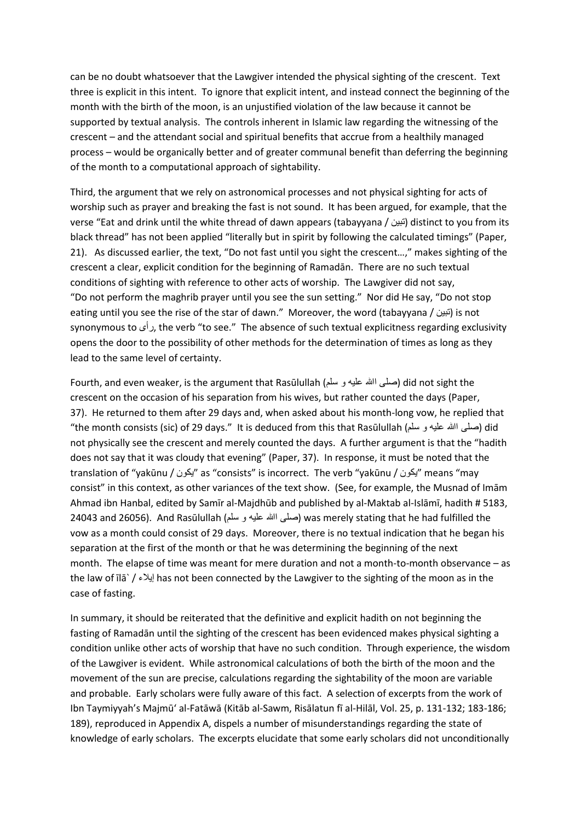can be no doubt whatsoever that the Lawgiver intended the physical sighting of the crescent. Text three is explicit in this intent. To ignore that explicit intent, and instead connect the beginning of the month with the birth of the moon, is an unjustified violation of the law because it cannot be supported by textual analysis. The controls inherent in Islamic law regarding the witnessing of the crescent – and the attendant social and spiritual benefits that accrue from a healthily managed process – would be organically better and of greater communal benefit than deferring the beginning of the month to a computational approach of sightability.

Third, the argument that we rely on astronomical processes and not physical sighting for acts of worship such as prayer and breaking the fast is not sound. It has been argued, for example, that the verse "Eat and drink until the white thread of dawn appears (tabayyana / أنبين distinct to you from its black thread" has not been applied "literally but in spirit by following the calculated timings" (Paper, 21). As discussed earlier, the text, "Do not fast until you sight the crescent…," makes sighting of the crescent a clear, explicit condition for the beginning of Ramadān. There are no such textual conditions of sighting with reference to other acts of worship. The Lawgiver did not say, "Do not perform the maghrib prayer until you see the sun setting." Nor did He say, "Do not stop eating until you see the rise of the star of dawn." Moreover, the word (tabayyana / أنبين (is not synonymous to رأی, the verb "to see." The absence of such textual explicitness regarding exclusivity opens the door to the possibility of other methods for the determination of times as long as they lead to the same level of certainty.

Fourth, and even weaker, is the argument that Rasūlullah (سلم و عليه االله صلی (did not sight the crescent on the occasion of his separation from his wives, but rather counted the days (Paper, 37). He returned to them after 29 days and, when asked about his month-long vow, he replied that "the month consists (sic) of 29 days." It is deduced from this that Rasūlullah (صلَّى الله عليه و سلَّم) did not physically see the crescent and merely counted the days. A further argument is that the "hadith does not say that it was cloudy that evening" (Paper, 37). In response, it must be noted that the translation of "yakūnu / يكون "as "consists" is incorrect. The verb "yakūnu / يكون "means "may consist" in this context, as other variances of the text show. (See, for example, the Musnad of Imām Ahmad ibn Hanbal, edited by Samīr al-Majdhūb and published by al-Maktab al-Islāmī, hadith # 5183, 24043 and 26056). And Rasūlullah (سلم و عليه االله صلی (was merely stating that he had fulfilled the vow as a month could consist of 29 days. Moreover, there is no textual indication that he began his separation at the first of the month or that he was determining the beginning of the next month. The elapse of time was meant for mere duration and not a month-to-month observance – as the law of īlā` / إيلاء has not been connected by the Lawgiver to the sighting of the moon as in the case of fasting.

In summary, it should be reiterated that the definitive and explicit hadith on not beginning the fasting of Ramadān until the sighting of the crescent has been evidenced makes physical sighting a condition unlike other acts of worship that have no such condition. Through experience, the wisdom of the Lawgiver is evident. While astronomical calculations of both the birth of the moon and the movement of the sun are precise, calculations regarding the sightability of the moon are variable and probable. Early scholars were fully aware of this fact. A selection of excerpts from the work of Ibn Taymiyyah's Majmū' al-Fatāwā (Kitāb al-Sawm, Risālatun fī al-Hilāl, Vol. 25, p. 131-132; 183-186; 189), reproduced in Appendix A, dispels a number of misunderstandings regarding the state of knowledge of early scholars. The excerpts elucidate that some early scholars did not unconditionally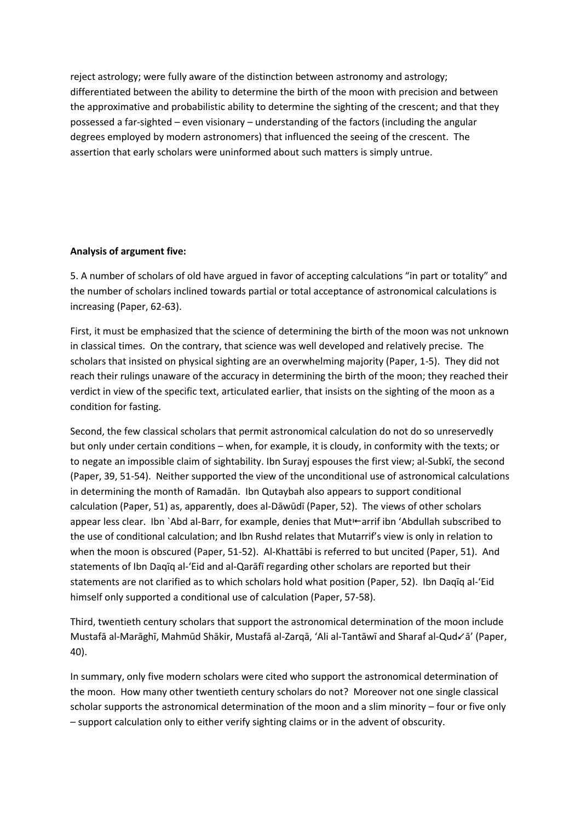reject astrology; were fully aware of the distinction between astronomy and astrology; differentiated between the ability to determine the birth of the moon with precision and between the approximative and probabilistic ability to determine the sighting of the crescent; and that they possessed a far-sighted – even visionary – understanding of the factors (including the angular degrees employed by modern astronomers) that influenced the seeing of the crescent. The assertion that early scholars were uninformed about such matters is simply untrue.

# **Analysis of argument five:**

5. A number of scholars of old have argued in favor of accepting calculations "in part or totality" and the number of scholars inclined towards partial or total acceptance of astronomical calculations is increasing (Paper, 62-63).

First, it must be emphasized that the science of determining the birth of the moon was not unknown in classical times. On the contrary, that science was well developed and relatively precise. The scholars that insisted on physical sighting are an overwhelming majority (Paper, 1-5). They did not reach their rulings unaware of the accuracy in determining the birth of the moon; they reached their verdict in view of the specific text, articulated earlier, that insists on the sighting of the moon as a condition for fasting.

Second, the few classical scholars that permit astronomical calculation do not do so unreservedly but only under certain conditions – when, for example, it is cloudy, in conformity with the texts; or to negate an impossible claim of sightability. Ibn Surayj espouses the first view; al-Subkī, the second (Paper, 39, 51-54). Neither supported the view of the unconditional use of astronomical calculations in determining the month of Ramadān. Ibn Qutaybah also appears to support conditional calculation (Paper, 51) as, apparently, does al-Dāwūdī (Paper, 52). The views of other scholars appear less clear. Ibn `Abd al-Barr, for example, denies that Mut<sup>1</sup>+arrif ibn 'Abdullah subscribed to the use of conditional calculation; and Ibn Rushd relates that Mutarrif's view is only in relation to when the moon is obscured (Paper, 51-52). Al-Khattābi is referred to but uncited (Paper, 51). And statements of Ibn Daqīq al-'Eid and al-Qarāfī regarding other scholars are reported but their statements are not clarified as to which scholars hold what position (Paper, 52). Ibn Daqīq al-'Eid himself only supported a conditional use of calculation (Paper, 57-58).

Third, twentieth century scholars that support the astronomical determination of the moon include Mustafā al-Marāghī, Mahmūd Shākir, Mustafā al-Zarqā, 'Ali al-Tantāwī and Sharaf al-Qud< a' (Paper, 40).

In summary, only five modern scholars were cited who support the astronomical determination of the moon. How many other twentieth century scholars do not? Moreover not one single classical scholar supports the astronomical determination of the moon and a slim minority – four or five only – support calculation only to either verify sighting claims or in the advent of obscurity.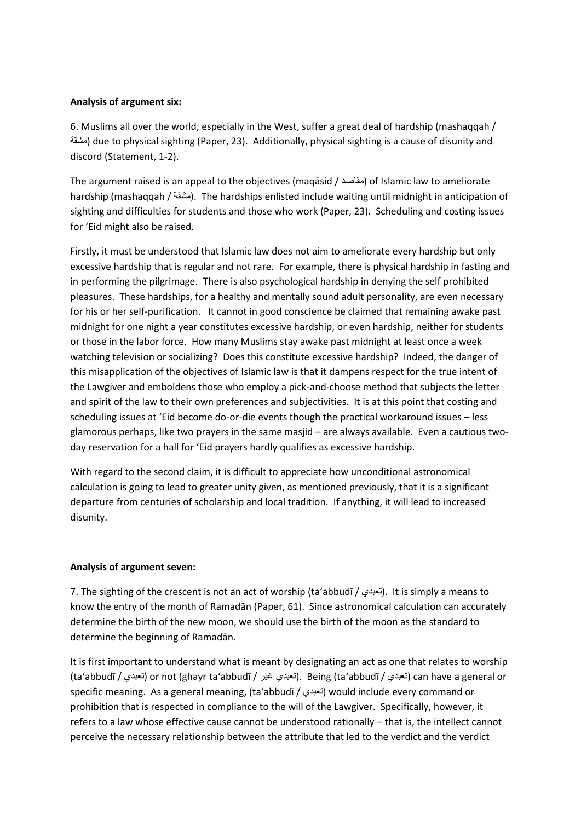#### **Analysis of argument six:**

6. Muslims all over the world, especially in the West, suffer a great deal of hardship (mashaqqah / مشقة) due to physical sighting (Paper, 23). Additionally, physical sighting is a cause of disunity and discord (Statement, 1-2).

The argument raised is an appeal to the objectives (maqāsid / مقاصد (of Islamic law to ameliorate hardship (mashaqqah / مشقة(. The hardships enlisted include waiting until midnight in anticipation of sighting and difficulties for students and those who work (Paper, 23). Scheduling and costing issues for 'Eid might also be raised.

Firstly, it must be understood that Islamic law does not aim to ameliorate every hardship but only excessive hardship that is regular and not rare. For example, there is physical hardship in fasting and in performing the pilgrimage. There is also psychological hardship in denying the self prohibited pleasures. These hardships, for a healthy and mentally sound adult personality, are even necessary for his or her self-purification. It cannot in good conscience be claimed that remaining awake past midnight for one night a year constitutes excessive hardship, or even hardship, neither for students or those in the labor force. How many Muslims stay awake past midnight at least once a week watching television or socializing? Does this constitute excessive hardship? Indeed, the danger of this misapplication of the objectives of Islamic law is that it dampens respect for the true intent of the Lawgiver and emboldens those who employ a pick-and-choose method that subjects the letter and spirit of the law to their own preferences and subjectivities. It is at this point that costing and scheduling issues at 'Eid become do-or-die events though the practical workaround issues – less glamorous perhaps, like two prayers in the same masjid – are always available. Even a cautious twoday reservation for a hall for 'Eid prayers hardly qualifies as excessive hardship.

With regard to the second claim, it is difficult to appreciate how unconditional astronomical calculation is going to lead to greater unity given, as mentioned previously, that it is a significant departure from centuries of scholarship and local tradition. If anything, it will lead to increased disunity.

# **Analysis of argument seven:**

7. The sighting of the crescent is not an act of worship (ta'abbudī / التعبدي). It is simply a means to know the entry of the month of Ramadān (Paper, 61). Since astronomical calculation can accurately determine the birth of the new moon, we should use the birth of the moon as the standard to determine the beginning of Ramadān.

It is first important to understand what is meant by designating an act as one that relates to worship (ta'abbudī / تعبدي) or not (ghayr ta'abbudī / تعبدي غير). Being (ta'abbudī / تعبدي) can have a general or specific meaning. As a general meaning, (ta'abbudī / تعبدي (would include every command or prohibition that is respected in compliance to the will of the Lawgiver. Specifically, however, it refers to a law whose effective cause cannot be understood rationally – that is, the intellect cannot perceive the necessary relationship between the attribute that led to the verdict and the verdict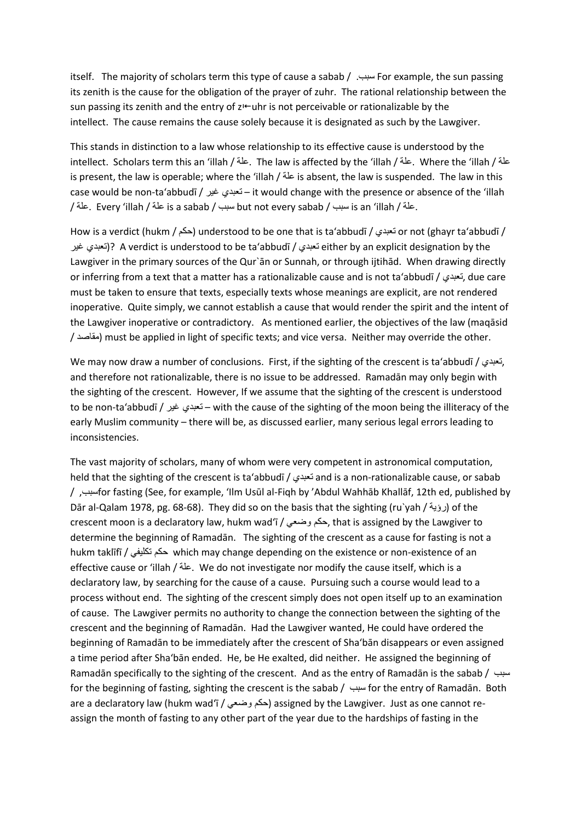itself. The majority of scholars term this type of cause a sabab / .سبب For example, the sun passing its zenith is the cause for the obligation of the prayer of zuhr. The rational relationship between the sun passing its zenith and the entry of  $z \leftarrow$ uhr is not perceivable or rationalizable by the intellect. The cause remains the cause solely because it is designated as such by the Lawgiver.

This stands in distinction to a law whose relationship to its effective cause is understood by the intellect. Scholars term this an 'illah / علة. The law is affected by the 'illah / علة. Where the 'illah / علة is present, the law is operable; where the 'illah / علة is absent, the law is suspended. The law in this case would be non-ta'abbudī / غير تعبدي – it would change with the presence or absence of the 'illah / علة. Every 'illah / علة is a sabab / سبب but not every sabab / سبب is an 'illah / علة.

How is a verdict (hukm / حكم (understood to be one that is ta'abbudī / تعبدي or not (ghayr ta'abbudī / غير تعبدي ?(A verdict is understood to be ta'abbudī / تعبدي either by an explicit designation by the Lawgiver in the primary sources of the Qur`ān or Sunnah, or through ijtihād. When drawing directly or inferring from a text that a matter has a rationalizable cause and is not ta'abbudī / تعبدي, due care must be taken to ensure that texts, especially texts whose meanings are explicit, are not rendered inoperative. Quite simply, we cannot establish a cause that would render the spirit and the intent of the Lawgiver inoperative or contradictory. As mentioned earlier, the objectives of the law (maqāsid / مقاصد (must be applied in light of specific texts; and vice versa. Neither may override the other.

We may now draw a number of conclusions. First, if the sighting of the crescent is ta'abbudī / تعبدي, and therefore not rationalizable, there is no issue to be addressed. Ramadān may only begin with the sighting of the crescent. However, If we assume that the sighting of the crescent is understood to be non-ta'abbudī / غير تعبدي – with the cause of the sighting of the moon being the illiteracy of the early Muslim community – there will be, as discussed earlier, many serious legal errors leading to inconsistencies.

The vast majority of scholars, many of whom were very competent in astronomical computation, held that the sighting of the crescent is ta'abbudī / تعبدي and is a non-rationalizable cause, or sabab / ,سببfor fasting (See, for example, 'Ilm Usūl al-Fiqh by 'Abdul Wahhāb Khallāf, 12th ed, published by Dār al-Qalam 1978, pg. 68-68). They did so on the basis that the sighting (ru`yah / أرؤية / of the crescent moon is a declaratory law, hukm wad'ī / وضعي حكم, that is assigned by the Lawgiver to determine the beginning of Ramadān. The sighting of the crescent as a cause for fasting is not a hukm taklīfī / تكليفي حكم which may change depending on the existence or non-existence of an effective cause or 'illah / علة. We do not investigate nor modify the cause itself, which is a declaratory law, by searching for the cause of a cause. Pursuing such a course would lead to a process without end. The sighting of the crescent simply does not open itself up to an examination of cause. The Lawgiver permits no authority to change the connection between the sighting of the crescent and the beginning of Ramadān. Had the Lawgiver wanted, He could have ordered the beginning of Ramadān to be immediately after the crescent of Sha'bān disappears or even assigned a time period after Sha'bān ended. He, be He exalted, did neither. He assigned the beginning of Ramadān specifically to the sighting of the crescent. And as the entry of Ramadān is the sabab / سبب for the beginning of fasting, sighting the crescent is the sabab / سبب for the entry of Ramadān. Both are a declaratory law (hukm wad'ī / حكم وضعي) assigned by the Lawgiver. Just as one cannot reassign the month of fasting to any other part of the year due to the hardships of fasting in the